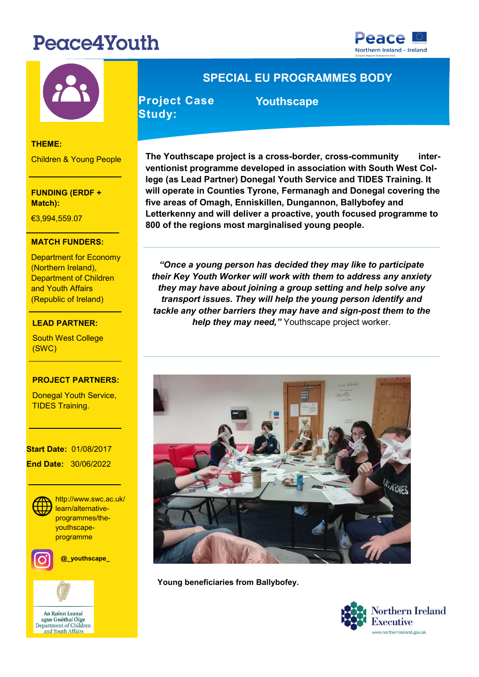# Peace4Youth





### **THEME:**

Children & Young People

**FUNDING (ERDF + Match):** 

€3,994,559.07

### **MATCH FUNDERS:**

Department for Economy **Department of Children** (Northern Ireland), and Youth Affairs (Republic of Ireland)

### €7,727,271.20 **LEAD PARTNER:**

**LEAD PARTNER:** South West College (SWC)

### **PROJECT PARTNERS:**

<u>-</u><br>Donegal Youth Service, TIDES Training.

#### **PROJECT CONTACT: Start Date:** 01/08/2017

 **End Date:** 30/06/2022



**MEDITE://www.swc.art programme** http://www.swc.ac.uk/ programmes/theyouthscape-



**@\_youthscape\_**



## **SPECIAL EU PROGRAMMES BODY**

**Project Case Study:** 

 **Youthscape** 

**The Youthscape project is a cross-border, cross-community interventionist programme developed in association with South West College (as Lead Partner) Donegal Youth Service and TIDES Training. It will operate in Counties Tyrone, Fermanagh and Donegal covering the five areas of Omagh, Enniskillen, Dungannon, Ballybofey and Letterkenny and will deliver a proactive, youth focused programme to 800 of the regions most marginalised young people.** 

*"Once a young person has decided they may like to participate their Key Youth Worker will work with them to address any anxiety they may have about joining a group setting and help solve any transport issues. They will help the young person identify and tackle any other barriers they may have and sign-post them to the help they may need,"* Youthscape project worker.



**Young beneficiaries from Ballybofey.**